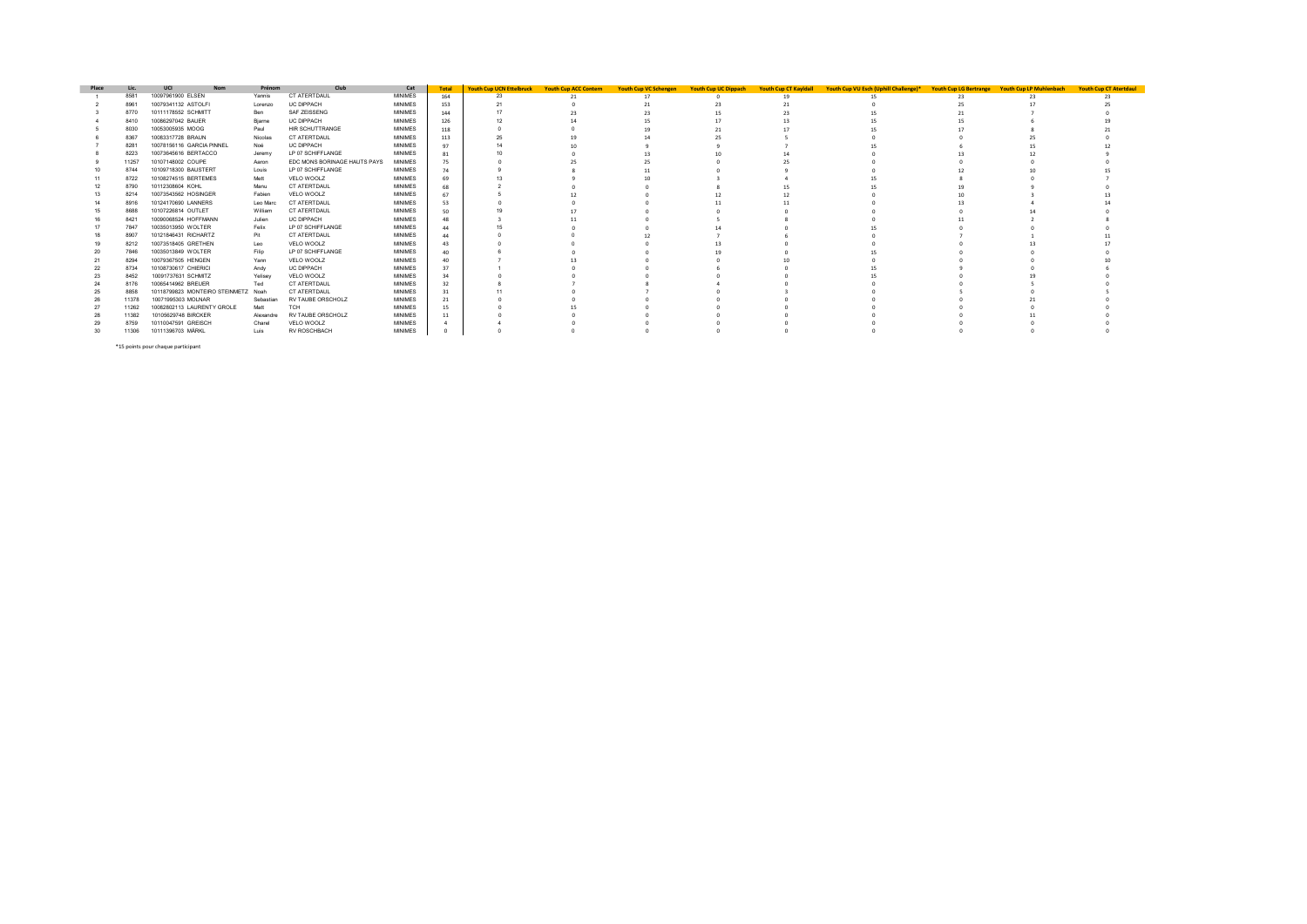| Place | Lic   | UCI<br><b>Nom</b>                   | Prénom    | Club                         | Cat            | <b>Total</b> | <b>Youth Cup UCN Ettelbruck</b> | <b>Youth Cup ACC Contern</b> | <b>Youth Cup VC Schengen</b> | Youth Cup UC Dippach | <b>Youth Cup CT Kayldall</b> | Youth Cup VU Esch (Uphill Challenge)* | <b>Youth Cup LG Bertrange</b> | <b>Youth Cup LP Muhlenbach</b> | <b>Youth Cup CT Atertdaul</b> |
|-------|-------|-------------------------------------|-----------|------------------------------|----------------|--------------|---------------------------------|------------------------------|------------------------------|----------------------|------------------------------|---------------------------------------|-------------------------------|--------------------------------|-------------------------------|
|       | 8581  | 10097961900 ELSEN                   | Yannis    | CT ATERTDAUL                 | <b>MINIMES</b> | 164          |                                 |                              |                              |                      |                              |                                       |                               |                                |                               |
|       | 8961  | 10079341132 ASTOLFI                 | Lorenzo   | <b>UC DIPPACH</b>            | <b>MINIMES</b> | 153          |                                 |                              |                              |                      |                              |                                       |                               |                                |                               |
|       | 8770  | 10111178552 SCHMITT                 | Ben       | SAF ZEISSENG                 | <b>MINIMES</b> | 144          |                                 |                              |                              |                      |                              |                                       |                               |                                |                               |
|       | 8410  | 10086297042 BAUER                   | Bjarne    | <b>UC DIPPACH</b>            | <b>MINIMES</b> | 126          |                                 |                              |                              |                      |                              |                                       |                               |                                |                               |
|       | 8030  | 10053005935 MOOG                    | Paul      | HIR SCHUTTRANGE              | <b>MINIMES</b> | 118          |                                 |                              |                              |                      |                              |                                       |                               |                                |                               |
|       | 8367  | 10083317728 BRAUN                   | Nicolas   | CT ATERTDAUL                 | <b>MINIMES</b> | 113          |                                 |                              |                              |                      |                              |                                       |                               |                                |                               |
|       | 8281  | 10078156116 GARCIA PINNEL           | Noé       | <b>UC DIPPACH</b>            | <b>MINIMES</b> | 97           |                                 |                              |                              |                      |                              |                                       |                               |                                |                               |
|       | 8223  | 10073645616 BERTACCO                | Jeremy    | LP 07 SCHIFFLANGE            | <b>MINIMES</b> |              |                                 |                              |                              |                      |                              |                                       |                               |                                |                               |
|       | 11257 | 10107148002 COUPE                   | Aaron     | EDC MONS BORINAGE HAUTS PAYS | <b>MINIMES</b> | 75           |                                 |                              |                              |                      |                              |                                       |                               |                                |                               |
|       | 8744  | 10109718300 BAUSTERT                | Louis     | LP 07 SCHIFFLANGE            | <b>MINIMES</b> | 74           |                                 |                              |                              |                      |                              |                                       |                               |                                |                               |
|       | 8722  | 10108274515 BERTEMES                | Mett      | VELO WOOLZ                   | <b>MINIMES</b> |              |                                 |                              |                              |                      |                              |                                       |                               |                                |                               |
|       | 8790  | 10112308604 KOHL                    | Manu      | CT ATERTDAUL                 | <b>MINIMES</b> |              |                                 |                              |                              |                      |                              |                                       |                               |                                |                               |
| 13    | 8214  | 10073543562 HOSINGER                | Fabien    | VELO WOOLZ                   | <b>MINIMES</b> |              |                                 |                              |                              |                      |                              |                                       |                               |                                |                               |
|       | 8916  | 10124170690 LANNERS                 | Leo Marc  | CT ATERTDAUL                 | <b>MINIMES</b> | 53           |                                 |                              |                              |                      |                              |                                       |                               |                                |                               |
|       | 8688  | 10107226814 OUTLET                  | William   | CT ATERTDAUL                 | <b>MINIMES</b> | 50           |                                 |                              |                              |                      |                              |                                       |                               |                                |                               |
|       | 8421  | 10090068524 HOFFMANN                | Julien    | <b>UC DIPPACH</b>            | <b>MINIMES</b> | 48           |                                 |                              |                              |                      |                              |                                       |                               |                                |                               |
|       | 7847  | 10035013950 WOLTER                  | Felix     | LP 07 SCHIFFLANGE            | <b>MINIMES</b> | 44           |                                 |                              |                              |                      |                              |                                       |                               |                                |                               |
|       | 8907  | 10121846431 RICHARTZ                | Pit       | CT ATERTDAUL                 | <b>MINIMES</b> | 44           |                                 |                              |                              |                      |                              |                                       |                               |                                |                               |
|       | 8212  | 10073518405 GRETHEN                 | Leo       | VELO WOOLZ                   | <b>MINIMES</b> | 43           |                                 |                              |                              |                      |                              |                                       |                               |                                |                               |
|       | 7846  | 10035013849 WOLTER                  | Filip     | LP 07 SCHIFFLANGE            | <b>MINIMES</b> | 40           |                                 |                              |                              |                      |                              |                                       |                               |                                |                               |
|       | 8294  | 10079367505 HENGEN                  | Yann      | VELO WOOLZ                   | <b>MINIMES</b> |              |                                 |                              |                              |                      |                              |                                       |                               |                                |                               |
| 22    | 8734  | 10108730617 CHIERICI                | Andy      | <b>UC DIPPACH</b>            | <b>MINIMES</b> | 37           |                                 |                              |                              |                      |                              |                                       |                               |                                |                               |
| 23    | 8452  | 10091737631 SCHMITZ                 | Yelisey   | VELO WOOLZ                   | <b>MINIMES</b> | 34           |                                 |                              |                              |                      |                              |                                       |                               |                                |                               |
|       | 8176  | 10065414962 BREUER                  | Ted       | CT ATERTDAUL                 | <b>MINIMES</b> | 32           |                                 |                              |                              |                      |                              |                                       |                               |                                |                               |
| 25    | 8858  | 10118799823 MONTEIRO STEINMETZ Noah |           | CT ATERTDAUL                 | <b>MINIMES</b> |              |                                 |                              |                              |                      |                              |                                       |                               |                                |                               |
|       | 11378 | 10071995303 MOLNAR                  | Sebastian | RV TAUBE ORSCHOLZ            | <b>MINIMES</b> |              |                                 |                              |                              |                      |                              |                                       |                               |                                |                               |
|       | 11262 | 10082802113 LAURENTY GROLE          | Matt      | тсн                          | <b>MINIMES</b> |              |                                 |                              |                              |                      |                              |                                       |                               |                                |                               |
|       | 11382 | 10105629748 BIRCKER                 | Alexandre | RV TAUBE ORSCHOLZ            | <b>MINIMES</b> |              |                                 |                              |                              |                      |                              |                                       |                               |                                |                               |
|       | 8759  | 10110047591 GREISCH                 | Charel    | VELO WOOLZ                   | <b>MINIMES</b> |              |                                 |                              |                              |                      |                              |                                       |                               |                                |                               |
| 30    | 11306 | 10111396703 MÄRKL                   | Luis      | RV ROSCHBACH                 | <b>MINIMES</b> |              |                                 |                              |                              |                      |                              |                                       |                               |                                |                               |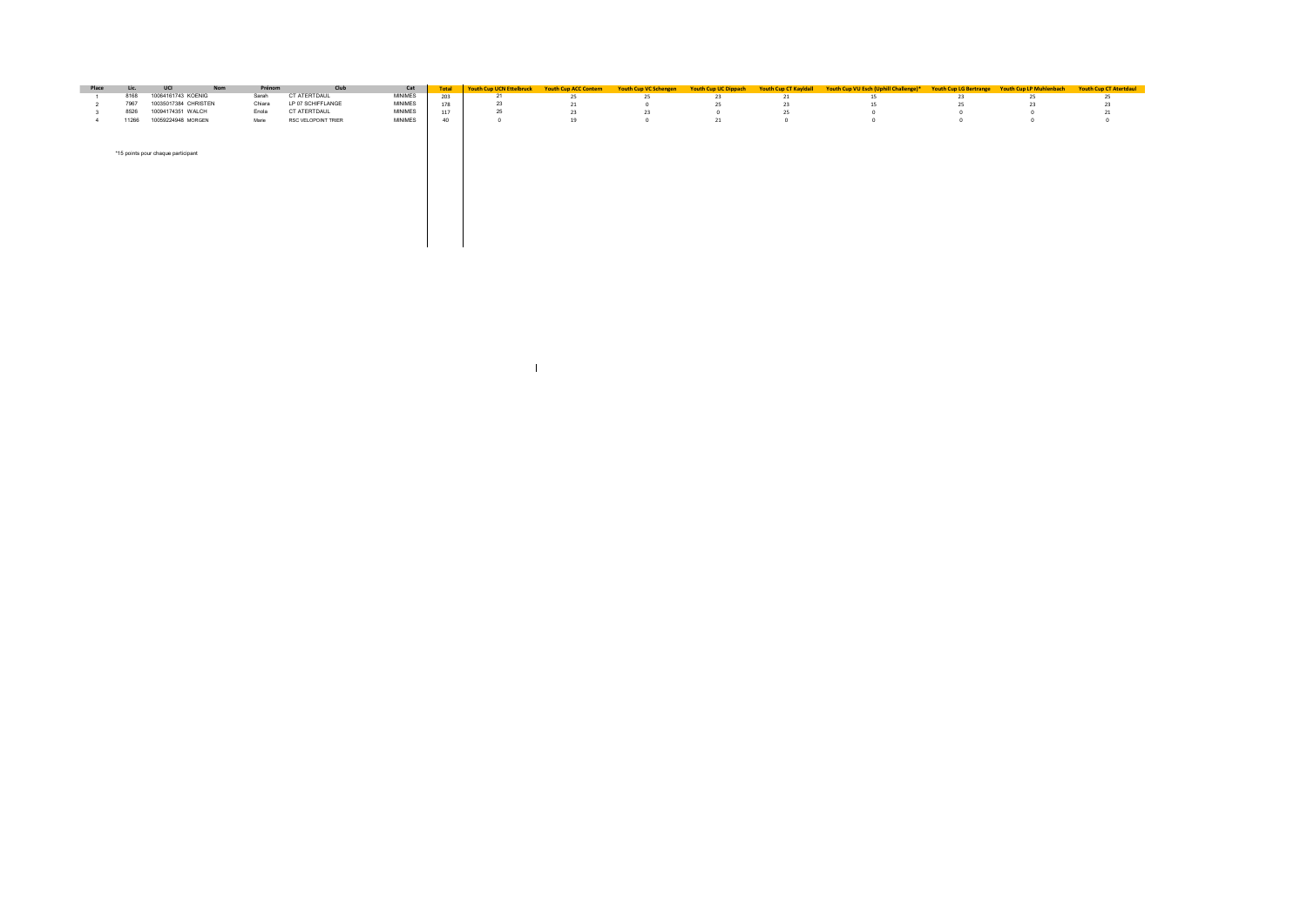| Place | Lic.  | UCI<br><b>Nom</b>                  | Prénom | Club                | Cat            | Total | Youth Cup UCN Ettelbruck | <b>Youth Cup ACC Contern</b> | <b>Youth Cup VC Schengen</b> | <b>Youth Cup UC Dippach</b> | <b>Youth Cup CT Kayldall</b> | Youth Cup VU Esch (Uphill Challenge)* |    | Youth Cup LG Bertrange Youth Cup LP Muhlenbach | <b>Youth Cup CT Atertdaul</b> |
|-------|-------|------------------------------------|--------|---------------------|----------------|-------|--------------------------|------------------------------|------------------------------|-----------------------------|------------------------------|---------------------------------------|----|------------------------------------------------|-------------------------------|
|       | 8168  | 10064161743 KOENIG                 | Sarah  | CT ATERTDAUL        | MINIMES        | 203   | 21                       | 25                           |                              | 23                          | -44                          | 15                                    | 23 | 25                                             |                               |
|       | 7967  | 10035017384 CHRISTEN               | Chiara | LP 07 SCHIFFLANGE   | <b>MINIMES</b> | 178   | 23                       | 21                           |                              | 25                          | 23                           | 15                                    |    | 23                                             |                               |
|       | 8526  | 10094174351 WALCH                  | Enola  | CT ATERTDAUL        | <b>MINIMES</b> | 117   | 25                       | 23                           |                              |                             |                              |                                       |    |                                                |                               |
|       | 11266 | 10059224948 MORGEN                 | Marie  | RSC VELOPOINT TRIER | <b>MINIMES</b> | 40    |                          | 19                           |                              | 21                          |                              |                                       |    |                                                |                               |
|       |       | *15 points pour chaque participant |        |                     |                |       |                          |                              |                              |                             |                              |                                       |    |                                                |                               |
|       |       |                                    |        |                     |                |       |                          |                              |                              |                             |                              |                                       |    |                                                |                               |
|       |       |                                    |        |                     |                |       |                          |                              |                              |                             |                              |                                       |    |                                                |                               |

the control of the control of the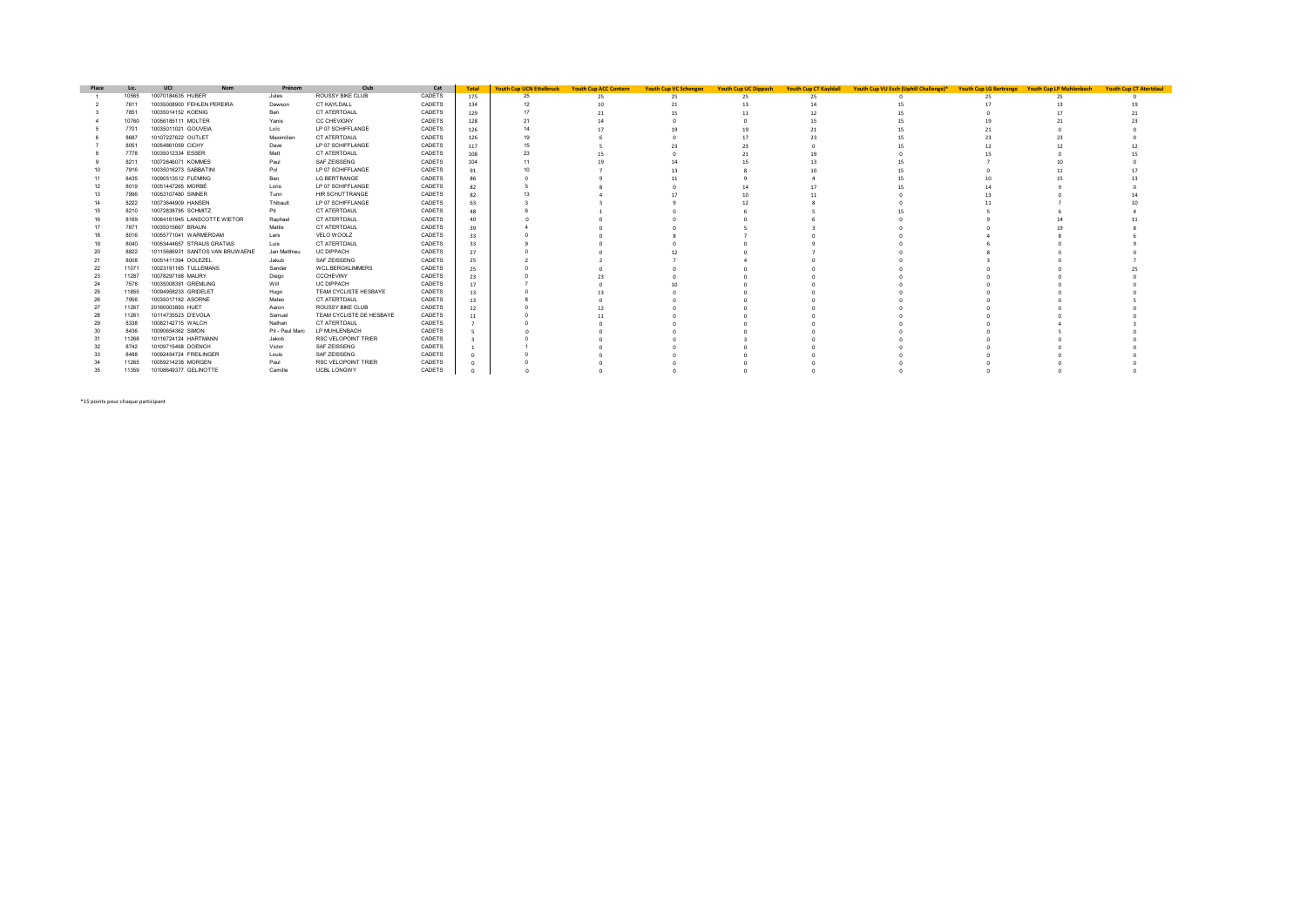| Place | Lic   | UCI<br><b>Nom</b>               | Prénom          | Club                       | Cat    | <b>Total</b> | <b>Youth Cup UCN Ettelbruck</b> | <b>Youth Cup ACC Contern</b> | <b>Youth Cup VC Schengen</b> | <b>Youth Cup UC Dippach</b> | <b>Youth Cup CT Kayldall</b> | Youth Cup VU Esch (Uphill Challenge)* Youth Cup LG Bertrange Youth Cup LP Muhlenbach |  | <b>Youth Cup CT Atertdaul</b> |
|-------|-------|---------------------------------|-----------------|----------------------------|--------|--------------|---------------------------------|------------------------------|------------------------------|-----------------------------|------------------------------|--------------------------------------------------------------------------------------|--|-------------------------------|
|       | 10565 | 10070184635 HUBER               | Jules           | ROUSSY BIKE CLUB           | CADETS | 175          |                                 |                              |                              | 25                          |                              |                                                                                      |  |                               |
|       | 7611  | 10035008900 FEHLEN PEREIRA      | Dawson          | CT KAYLDALL                | CADETS | 134          |                                 |                              |                              |                             |                              |                                                                                      |  |                               |
|       | 7851  | 10035014152 KOENIG              | Ben             | CT ATERTDAUL               | CADETS | 129          |                                 |                              |                              |                             |                              |                                                                                      |  |                               |
|       | 10760 | 10056185111 MOLTER              | Yanis           | <b>CC CHEVIGNY</b>         | CADETS | 128          |                                 |                              |                              |                             |                              |                                                                                      |  |                               |
|       | 7701  | 10035011021 GOUVEIA             | Loïc            | LP 07 SCHIFFLANGE          | CADETS | 126          |                                 |                              |                              |                             |                              |                                                                                      |  |                               |
|       | 8687  | 10107227622 OUTLET              | Maximilien      | CT ATERTDAUL               | CADETS | 126          |                                 |                              |                              |                             |                              |                                                                                      |  |                               |
|       | 8051  | 10054861059 CICHY               | Dave            | LP 07 SCHIFFLANGE          | CADETS | 117          |                                 |                              |                              |                             |                              |                                                                                      |  |                               |
|       | 7778  | 10035012334 ESSER               | Matt            | CT ATERTDAUL               | CADETS | 108          |                                 |                              |                              |                             |                              |                                                                                      |  |                               |
|       | 8211  | 10072846071 KOMMES              | Paul            | SAF ZEISSENG               | CADETS |              |                                 |                              |                              |                             |                              |                                                                                      |  |                               |
|       | 7916  | 10035016273 SABBATINI           | Pol             | LP 07 SCHIFFLANGE          | CADETS |              |                                 |                              |                              |                             |                              |                                                                                      |  |                               |
|       | 8435  | 10090513512 FLEMING             | Ben             | <b>LG BERTRANGE</b>        | CADETS |              |                                 |                              |                              |                             |                              |                                                                                      |  |                               |
|       | 8019  | 10051447265 MORBÉ               | Loris           | LP 07 SCHIFFLANGE          | CADETS |              |                                 |                              |                              |                             |                              |                                                                                      |  |                               |
|       | 7996  | 10053107480 SINNER              | Tunn            | HIR SCHUTTRANGE            | CADETS |              |                                 |                              |                              |                             |                              |                                                                                      |  |                               |
|       | 8222  | 10073644909 HANSEN              | Thibault        | LP 07 SCHIFFLANGE          | CADETS |              |                                 |                              |                              |                             |                              |                                                                                      |  |                               |
|       | 8210  | 10072838795 SCHMITZ             | Pit             | CT ATERTDAUL               | CADETS |              |                                 |                              |                              |                             |                              |                                                                                      |  |                               |
|       | 8169  | 10064161945 LANSCOTTE WIETOR    | Raphael         | CT ATERTDAUL               | CADETS |              |                                 |                              |                              |                             |                              |                                                                                      |  |                               |
|       | 7871  | 10035015667 BRAUN               | Mattis          | CT ATERTDAUL               | CADETS |              |                                 |                              |                              |                             |                              |                                                                                      |  |                               |
|       | 8016  | 10055771041 WARMERDAM           | Lars            | VELO WOOLZ                 | CADETS |              |                                 |                              |                              |                             |                              |                                                                                      |  |                               |
|       | 8040  | 10053444657 STRAUS GRATIAS      | Luis            | CT ATERTDAUL               | CADETS |              |                                 |                              |                              |                             |                              |                                                                                      |  |                               |
| 20    | 8822  | 10115686931 SANTOS VAN BRUWAENE | Jan Matthieu    | <b>UC DIPPACH</b>          | CADETS |              |                                 |                              |                              |                             |                              |                                                                                      |  |                               |
|       | 8008  | 10051411394 DOLEZEL             | Jakub           | SAF ZEISSENG               | CADETS | 25           |                                 |                              |                              |                             |                              |                                                                                      |  |                               |
| 22    | 1107  | 10023191165 TULLEMANS           | Sander          | WCL.BERGKLIMMERS           | CADETS | 25           |                                 |                              |                              |                             |                              |                                                                                      |  |                               |
| 23    | 11287 | 10078297168 MAURY               | Diego           | <b>CCCHEVINY</b>           | CADETS |              |                                 |                              |                              |                             |                              |                                                                                      |  |                               |
|       | 7578  | 10035008391 GREMLING            | Will            | <b>UC DIPPACH</b>          | CADETS |              |                                 |                              |                              |                             |                              |                                                                                      |  |                               |
| 25    | 11855 | 10094958233 GRIDELET            | Hugo            | TEAM CYCLISTE HESBAYE      | CADETS | 13           |                                 |                              |                              |                             |                              |                                                                                      |  |                               |
|       | 7956  | 10035017182 ASORNE              | Mateo           | CT ATERTDAUL               | CADETS |              |                                 |                              |                              |                             |                              |                                                                                      |  |                               |
|       | 11267 | 20160003893 HUET                | Aaron           | ROUSSY BIKE CLUB           | CADETS |              |                                 |                              |                              |                             |                              |                                                                                      |  |                               |
|       | 11261 | 10114735523 D'EVOLA             | Samuel          | TEAM CYCLISTE DE HESBAYE   | CADETS |              |                                 |                              |                              |                             |                              |                                                                                      |  |                               |
|       | 8338  | 10082142715 WALCH               | Nathan          | CT ATERTDAUL               | CADETS |              |                                 |                              |                              |                             |                              |                                                                                      |  |                               |
|       | 8436  | 10090654362 SIMON               | Pit - Paul Marc | LP MUHLENBACH              | CADETS |              |                                 |                              |                              |                             |                              |                                                                                      |  |                               |
|       | 11268 | 10116724124 HARTMANN            | Jakob           | RSC VELOPOINT TRIER        | CADETS |              |                                 |                              |                              |                             |                              |                                                                                      |  |                               |
|       | 8742  | 10109715468 DOENCH              | Victor          | SAF ZEISSENG               | CADETS |              |                                 |                              |                              |                             |                              |                                                                                      |  |                               |
|       | 8488  | 10092454724 FREILINGER          | Louis           | SAF ZEISSENG               | CADETS |              |                                 |                              |                              |                             |                              |                                                                                      |  |                               |
|       | 11265 | 10059214238 MORGEN              | Paul            | <b>RSC VELOPOINT TRIER</b> | CADETS |              |                                 |                              |                              |                             |                              |                                                                                      |  |                               |
| 35    | 11359 | 10108649377 GELINOTTE           | Camille         | <b>UCBL LONGWY</b>         | CADETS |              |                                 |                              |                              |                             |                              |                                                                                      |  |                               |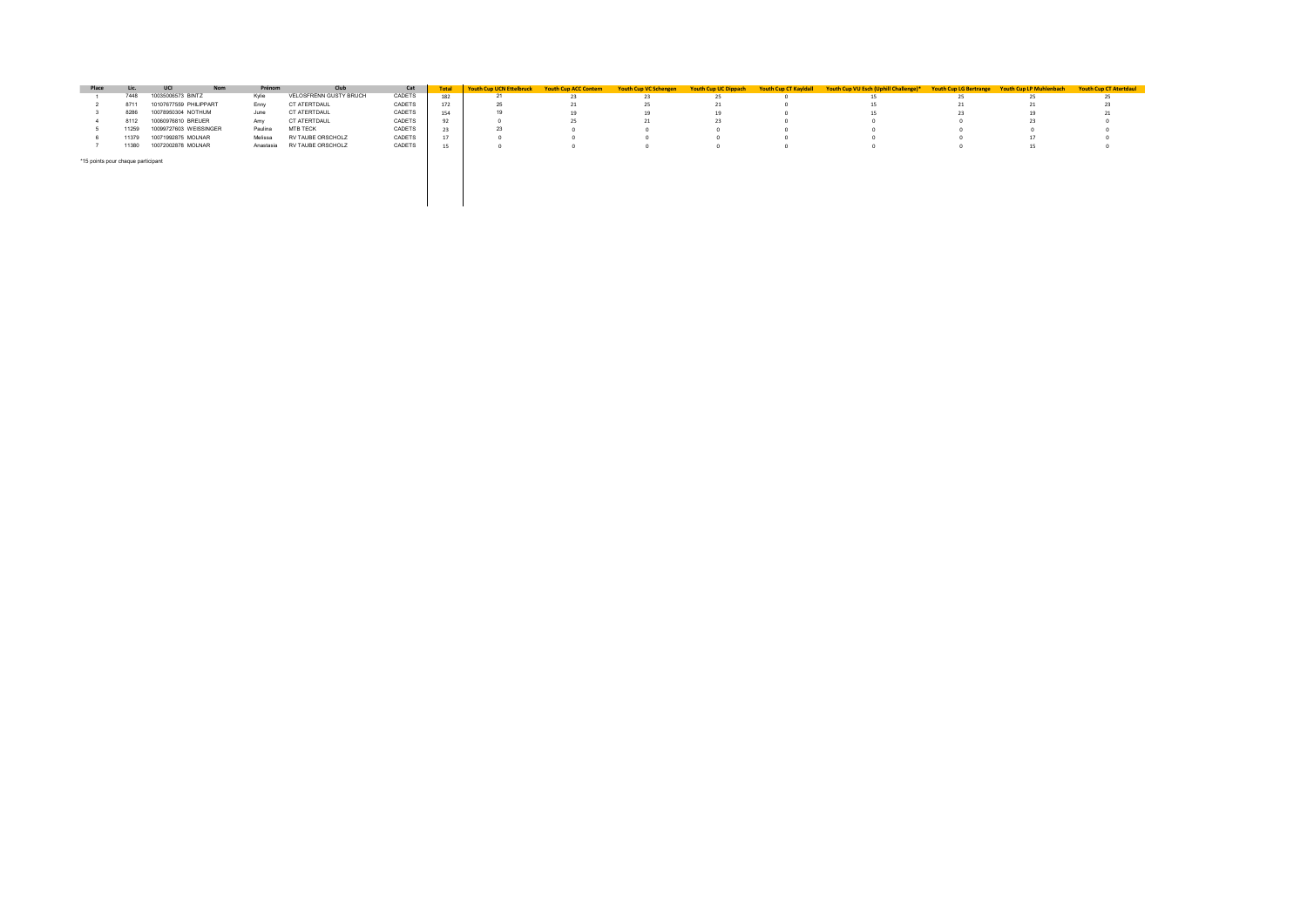| Place                              | <b>Lic</b> | UCI<br><b>Nom</b>      | Prénom    | Club                   | Cat    |     | Youth Cup UCN Ettelbruck Youth Cup ACC Contern |    | <b>Youth Cup VC Schengen</b> | <b>Youth Cup UC Dippach</b> | Vouth Cup CT Kayldall Youth Cup VU Esch (Uphill Challenge)* | <b>Youth Cup LG Bertrange</b> | <b>Youth Cup LP Muhlenbach</b> | <b>Youth Cup CT Atertdaul</b> |
|------------------------------------|------------|------------------------|-----------|------------------------|--------|-----|------------------------------------------------|----|------------------------------|-----------------------------|-------------------------------------------------------------|-------------------------------|--------------------------------|-------------------------------|
|                                    | 7448       | 10035006573 BINTZ      | Kvlie     | VELOSFRÊNN GUSTY BRUCH | CADETS | 182 |                                                | 23 |                              |                             |                                                             |                               |                                | $\sim$<br>25                  |
|                                    | 8711       | 10107677559 PHILIPPART | Enny      | CT ATERTDAUL           | CADETS |     |                                                | 21 | 25.                          |                             |                                                             | 41                            |                                | 23                            |
|                                    | 8286       | 10078950304 NOTHUM     | June      | CT ATERTDAUL           | CADETS | 154 |                                                |    | 19                           | 19                          |                                                             | 23.                           |                                |                               |
|                                    | 8112       | 10060976810 BREUER     | Amy       | CT ATERTDAUL           | CADETS | 92  |                                                |    |                              |                             |                                                             |                               |                                |                               |
|                                    | 11259      | 10099727603 WEISSINGER | Paulina   | MTB TECK               | CADETS | 23  |                                                |    |                              |                             |                                                             |                               |                                |                               |
|                                    | 11379      | 10071992875 MOLNAR     | Melissa   | RV TAUBE ORSCHOLZ      | CADETS | 17  |                                                |    |                              |                             |                                                             |                               |                                |                               |
|                                    | 1380       | 10072002878 MOLNAR     | Anastasia | RV TAUBE ORSCHOLZ      | CADETS |     |                                                |    |                              |                             |                                                             |                               |                                |                               |
| *15 points pour chaque participant |            |                        |           |                        |        |     |                                                |    |                              |                             |                                                             |                               |                                |                               |

 $\mathbb{R}^n$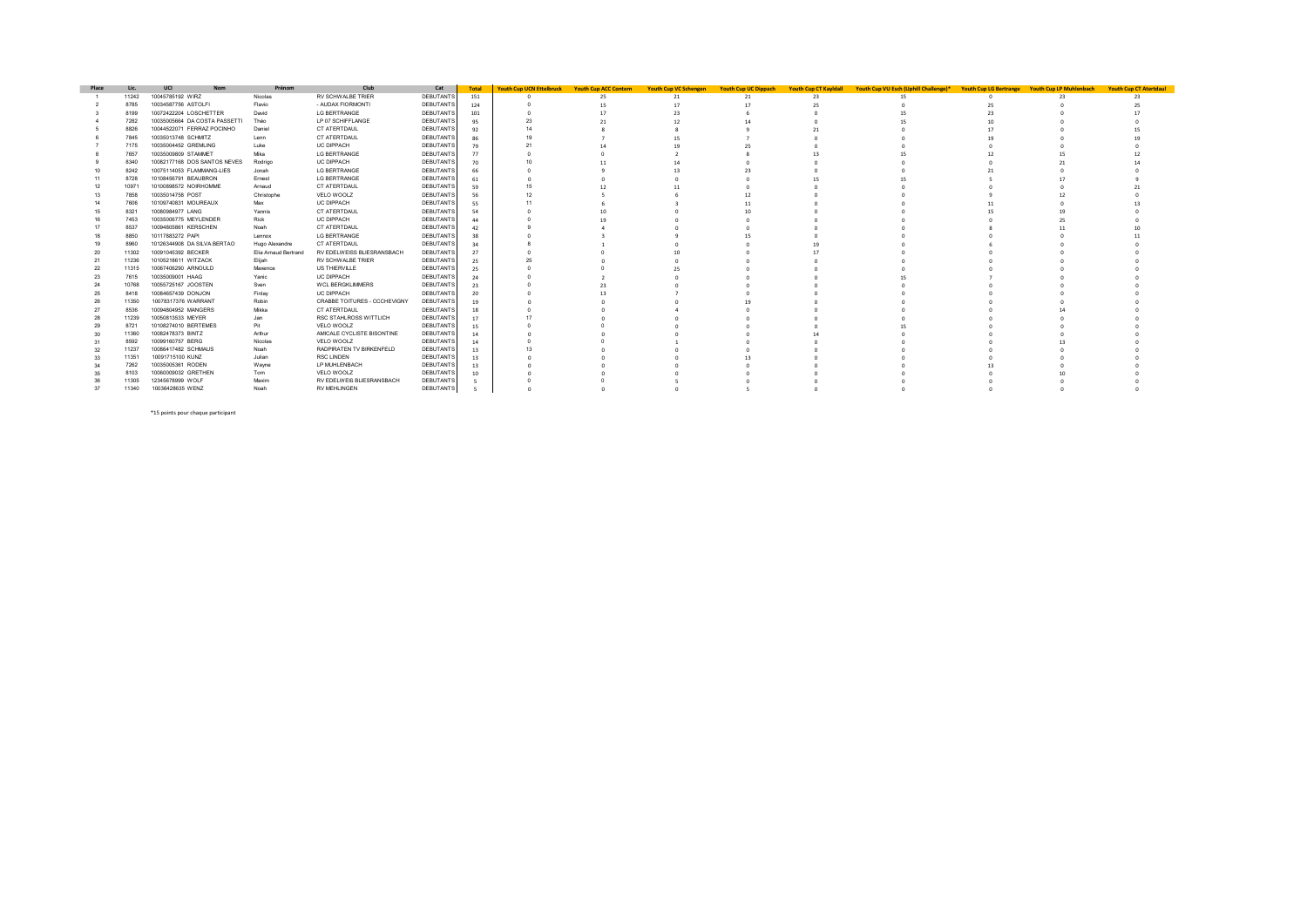| Place          | Lic.  | UCI<br><b>Nom</b>            | Prénom               | Club                         | Cat              | <b>Total</b> | <b>Youth Cup UCN Ettelbruck</b> | <b>Youth Cup ACC Contern</b> | <b>Youth Cup VC Schengen</b> | <b>Youth Cup UC Dippach</b> | <b>Youth Cup CT Kayldall</b> | Youth Cup VU Esch (Uphill Challenge)* | <b>Youth Cup LG Bertrange Youth Cup LP Muhlenbach</b> | <b>Youth Cup CT Atertdaul</b> |
|----------------|-------|------------------------------|----------------------|------------------------------|------------------|--------------|---------------------------------|------------------------------|------------------------------|-----------------------------|------------------------------|---------------------------------------|-------------------------------------------------------|-------------------------------|
|                | 11242 | 10045785192 WIRZ             | Nicolas              | RV SCHWALBE TRIER            | DEBUTANTS        | 151          |                                 |                              | 21                           | -21                         |                              |                                       |                                                       |                               |
|                | 8785  | 10034587756 ASTOLFI          | Flavio               | - AUDAX FIORMONTI            | <b>DEBUTANTS</b> | 124          |                                 |                              |                              |                             |                              |                                       |                                                       |                               |
|                | 8199  | 10072422204 LOSCHETTER       | David                | <b>LG BERTRANGE</b>          | <b>DEBUTANTS</b> | 101          |                                 |                              |                              |                             |                              |                                       |                                                       |                               |
|                | 7282  | 10035005664 DA COSTA PASSETT | Théo                 | LP 07 SCHIFFLANGE            | <b>DEBUTANTS</b> |              |                                 |                              |                              |                             |                              |                                       |                                                       |                               |
|                | 8826  | 10044522071 FERRAZ POCINHO   | Daniel               | CT ATERTDAUL                 | <b>DEBUTANTS</b> |              |                                 |                              |                              |                             |                              |                                       |                                                       |                               |
|                | 7845  | 10035013748 SCHMITZ          | Lenn                 | CT ATERTDAUL                 | <b>DEBUTANTS</b> |              |                                 |                              |                              |                             |                              |                                       |                                                       |                               |
|                | 7175  | 10035004452 GREMLING         | Luke                 | <b>UC DIPPACH</b>            | <b>DEBUTANTS</b> |              |                                 |                              |                              |                             |                              |                                       |                                                       |                               |
|                | 7657  | 10035009809 STAMMET          | Mika                 | <b>LG BERTRANGE</b>          | <b>DEBUTANTS</b> |              |                                 |                              |                              |                             |                              |                                       |                                                       |                               |
|                | 8340  | 10082177168 DOS SANTOS NEVES | Rodrigo              | <b>UC DIPPACH</b>            | <b>DEBUTANTS</b> |              |                                 |                              |                              |                             |                              |                                       |                                                       |                               |
|                | 8242  | 10075114053 FLAMMANG-LIES    | Jonah                | <b>LG BERTRANGE</b>          | <b>DEBUTANTS</b> |              |                                 |                              |                              |                             |                              |                                       |                                                       |                               |
|                | 8728  | 10108456791 BEAUBRON         | Ernest               | <b>LG BERTRANGE</b>          | <b>DEBUTANTS</b> |              |                                 |                              |                              |                             |                              |                                       |                                                       |                               |
|                | 1097  | 10100898572 NOIRHOMME        | Arnaud               | CT ATERTDAUL                 | <b>DEBUTANTS</b> |              |                                 |                              |                              |                             |                              |                                       |                                                       |                               |
|                | 7858  | 10035014758 POST             | Christophe           | VELO WOOLZ                   | <b>DEBUTANTS</b> |              |                                 |                              |                              |                             |                              |                                       |                                                       |                               |
|                | 7606  | 10109740831 MOUREAUX         | Max                  | <b>UC DIPPACH</b>            | <b>DEBUTANTS</b> |              |                                 |                              |                              |                             |                              |                                       |                                                       |                               |
|                | 8321  | 10080984977 LANG             | Yannis               | CT ATERTDAUL                 | <b>DEBUTANTS</b> |              |                                 |                              |                              |                             |                              |                                       |                                                       |                               |
|                | 7453  | 10035006775 MEYLENDER        | Rick                 | <b>UC DIPPACH</b>            | <b>DEBUTANTS</b> |              |                                 |                              |                              |                             |                              |                                       |                                                       |                               |
|                | 8537  | 10094805861 KERSCHEN         | Noah                 | CT ATERTDAUL                 | <b>DEBUTANTS</b> |              |                                 |                              |                              |                             |                              |                                       |                                                       |                               |
|                | 8850  | 10117883272 PAPI             | Lennox               | <b>LG BERTRANGE</b>          | DEBUTANTS        |              |                                 |                              |                              |                             |                              |                                       |                                                       |                               |
|                | 8960  | 10126344908 DA SILVA BERTAO  | Hugo Alexandre       | CT ATERTDAUL                 | DEBUTANTS        |              |                                 |                              |                              |                             |                              |                                       |                                                       |                               |
| -20            | 11302 | 10091045392 BECKER           | Elia Arnaud Bertrand | RV EDELWEISS BLIESRANSBACH   | DEBUTANTS        | 27           |                                 |                              |                              |                             |                              |                                       |                                                       |                               |
| 21             | 11236 | 10105218611 WITZACK          | Elijah               | RV SCHWALBE TRIER            | DEBUTANTS        |              |                                 |                              |                              |                             |                              |                                       |                                                       |                               |
| $\overline{2}$ | 11315 | 10067406290 ARNOULD          | Maxence              | US THIERVILLE                | DEBUTANTS        |              |                                 |                              |                              |                             |                              |                                       |                                                       |                               |
| 23             | 7615  | 10035009001 HAAG             | Yanic                | <b>UC DIPPACH</b>            | <b>DEBUTANTS</b> |              |                                 |                              |                              |                             |                              |                                       |                                                       |                               |
|                | 10768 | 10055725167 JOOSTEN          | Sven                 | <b>WCL BERGKLIMMERS</b>      | <b>DEBUTANTS</b> | 23           |                                 |                              |                              |                             |                              |                                       |                                                       |                               |
| -25            | 8418  | 10084657439 DONJON           | Finlay               | <b>UC DIPPACH</b>            | DEBUTANTS        | $\infty$     |                                 |                              |                              |                             |                              |                                       |                                                       |                               |
| 26             | 11350 | 10078317376 WARRANT          | Robin                | CRABBE TOITURES - CCCHEVIGNY | DEBUTANTS        |              |                                 |                              |                              |                             |                              |                                       |                                                       |                               |
|                | 8536  | 10094804952 MANGERS          | Mikka                | CT ATERTDAUL                 | DEBUTANTS        |              |                                 |                              |                              |                             |                              |                                       |                                                       |                               |
| 28             | 11239 | 10050813533 MEYER            | Jan                  | RSC STAHLROSS WITTLICH       | DEBUTANTS        |              |                                 |                              |                              |                             |                              |                                       |                                                       |                               |
|                | 8721  | 10108274010 BERTEMES         | Pit                  | VELO WOOLZ                   | DEBUTANTS        |              |                                 |                              |                              |                             |                              |                                       |                                                       |                               |
|                | 11360 | 10082478373 BINTZ            | Arthur               | AMICALE CYCLISTE BISONTINE   | DEBUTANTS        |              |                                 |                              |                              |                             |                              |                                       |                                                       |                               |
|                | 8592  | 10099160757 BERG             | Nicolas              | VELO WOOLZ                   | DEBUTANTS        |              |                                 |                              |                              |                             |                              |                                       |                                                       |                               |
|                | 11237 | 10086417482 SCHMAUS          | Noah                 | RADPIRATEN TV BIRKENFELD     | DEBUTANTS        |              |                                 |                              |                              |                             |                              |                                       |                                                       |                               |
| -33            | 11351 | 10091715100 KUNZ             | Julian               | <b>RSC LINDEN</b>            | DEBUTANTS        |              |                                 |                              |                              |                             |                              |                                       |                                                       |                               |
|                | 7262  | 10035005361 RODEN            | Wayne                | LP MUHLENBACH                | DEBUTANTS        |              |                                 |                              |                              |                             |                              |                                       |                                                       |                               |
|                | 8103  | 10060009032 GRETHEN          | Tom                  | VELO WOOLZ                   | DEBUTANTS        |              |                                 |                              |                              |                             |                              |                                       |                                                       |                               |
|                | 11305 | 12345678999 WOLF             | Maxim                | RV EDELWEIß BLIESRANSBACH    | <b>DEBUTANTS</b> |              |                                 |                              |                              |                             |                              |                                       |                                                       |                               |
| 37             | 11340 | 10036428635 WENZ             | Noah                 | <b>RV MEHLINGEN</b>          | DEBUTANTS        |              |                                 |                              |                              |                             |                              |                                       |                                                       |                               |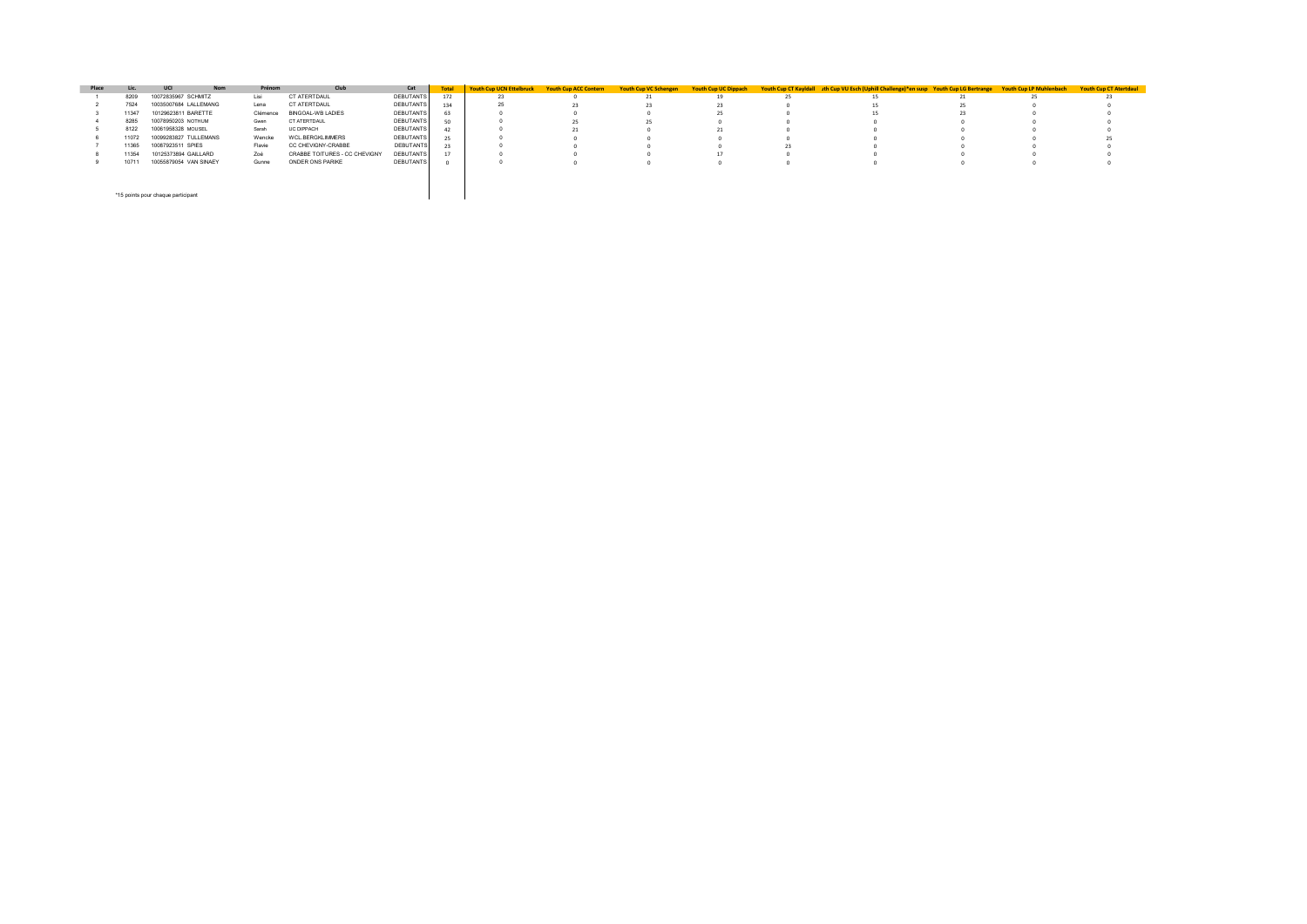| Place |       | <b>UCI</b><br><b>Nom</b>           | Prénom   | Club                          | Cat              | <b>Total</b> | <b>Youth Cup UCN Ettelbruck</b> | <b>Youth Cup ACC Contern</b> | <b>Youth Cup VC Schengen</b> | <b>Youth Cup UC Dippach</b> |     | Youth Cup CT Kayldall rth Cup VU Esch (Uphill Challenge)*en susp Youth Cup LG Bertrange | <b>Youth Cup LP Muhlenbach</b> | <b>Youth Cup CT Atertdaul</b> |
|-------|-------|------------------------------------|----------|-------------------------------|------------------|--------------|---------------------------------|------------------------------|------------------------------|-----------------------------|-----|-----------------------------------------------------------------------------------------|--------------------------------|-------------------------------|
|       | 8209  | 10072835967 SCHMITZ                | Lisi     | CT ATERTDAUL                  | DEBUTANTS        | 172          |                                 |                              |                              | 19                          | -25 |                                                                                         | 25.                            |                               |
|       | 7524  | 10035007684 LALLEMANG              | Lena     | CT ATERTDAUL                  | DEBUTANTS        | 134          |                                 |                              |                              |                             |     |                                                                                         |                                |                               |
|       | 11347 | 10129623811 BARETTE                | Clémence | <b>BINGOAL-WB LADIES</b>      | DEBUTANTS        |              |                                 |                              |                              |                             |     |                                                                                         |                                |                               |
|       | 8285  | 10078950203 NOTHUM                 | Gwen     | CT ATERTDAUL                  | DEBUTANTS        | 50           |                                 | $\overline{25}$              |                              |                             |     |                                                                                         |                                |                               |
|       | 8122  | 10061958328 MOUSEL                 | Sarah    | <b>UC DIPPACH</b>             | DEBUTANTS        |              |                                 |                              |                              |                             |     |                                                                                         |                                |                               |
|       | 11072 | 10099283827 TULLEMANS              | Wencke   | WCL.BERGKLIMMERS              | DEBUTANTS        |              |                                 |                              |                              |                             |     |                                                                                         |                                |                               |
|       | 11365 | 10087923511 SPIES                  | Flavie   | CC CHEVIGNY-CRABBE            | <b>DEBUTANTS</b> |              |                                 |                              |                              |                             |     |                                                                                         |                                |                               |
|       | 11354 | 10125373894 GAILLARD               | Zoé      | CRABBE TOITURES - CC CHEVIGNY | <b>DEBUTANTS</b> |              |                                 |                              |                              |                             |     |                                                                                         |                                |                               |
|       | 10711 | 10055879054 VAN SINAEY             | Gunne    | ONDER ONS PARIKE              | DEBUTANTS        |              |                                 |                              |                              |                             |     |                                                                                         |                                |                               |
|       |       |                                    |          |                               |                  |              |                                 |                              |                              |                             |     |                                                                                         |                                |                               |
|       |       | *15 points pour chaque participant |          |                               |                  |              |                                 |                              |                              |                             |     |                                                                                         |                                |                               |